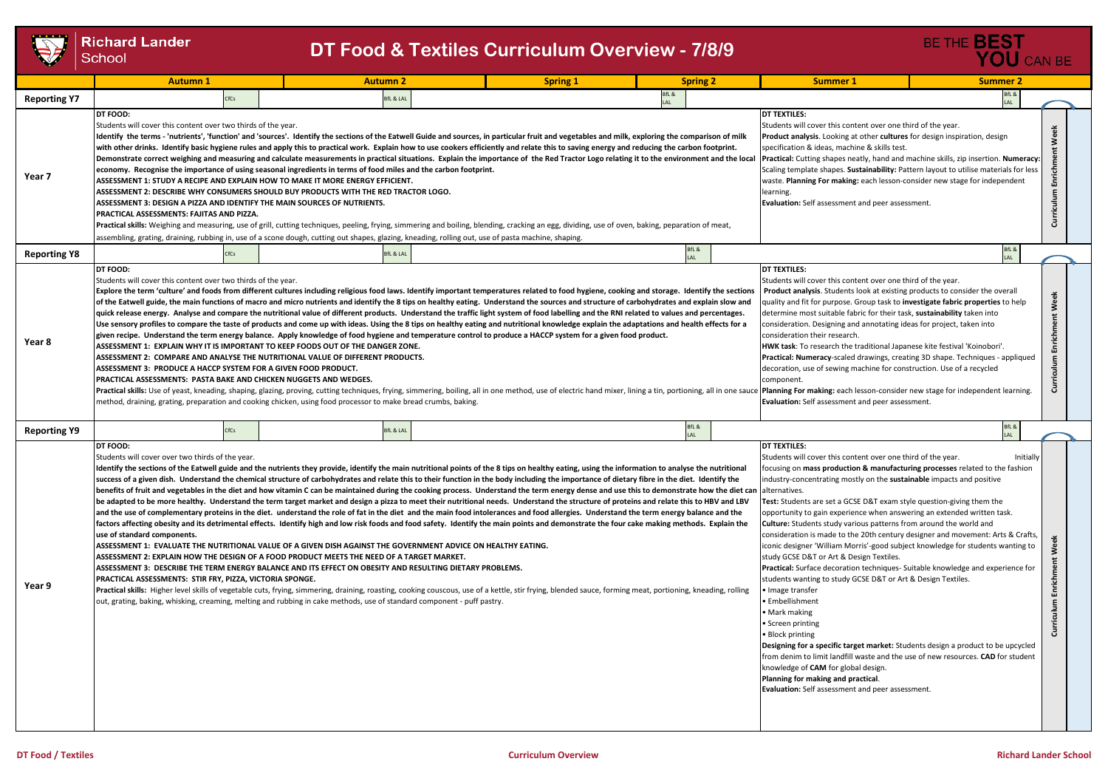

|                     | <b>Richard Lander</b><br><b>DT Food &amp; Textiles Curriculum Overview - 7/8/9</b><br>School                                                                                                                                                                                                                                                                                                                                                                                                                                                                                                                                                                                                                                                                                                                                                                                                                                                                                                                                                                                                                                                                                                                                                                                                                                                                                                                                                                                                                                                                                                                                                                                                                                                                                                                                                                                                                                                                                                                                      |                                                                                                                                                                                                                                                                                                                                                                                                                                                    |                                                                                                                                                                                                                                                                                                                                                                                                                                                                                                                                                                                                                                                                                                                                                                                                                                                                                                                                                                                                                                                                                                                                                                                                                                                                                                                                                                                                                     |                    |                                                                                                                                                                                                                                                                                                                                                                                                                                                                                                                                                                                                                                                                                                                                                                                                                                                                                                                                                                                                                                                                                                                                                                                                                                                       | BE THE <b>BEST</b><br>YOU CAN BE |                                  |
|---------------------|-----------------------------------------------------------------------------------------------------------------------------------------------------------------------------------------------------------------------------------------------------------------------------------------------------------------------------------------------------------------------------------------------------------------------------------------------------------------------------------------------------------------------------------------------------------------------------------------------------------------------------------------------------------------------------------------------------------------------------------------------------------------------------------------------------------------------------------------------------------------------------------------------------------------------------------------------------------------------------------------------------------------------------------------------------------------------------------------------------------------------------------------------------------------------------------------------------------------------------------------------------------------------------------------------------------------------------------------------------------------------------------------------------------------------------------------------------------------------------------------------------------------------------------------------------------------------------------------------------------------------------------------------------------------------------------------------------------------------------------------------------------------------------------------------------------------------------------------------------------------------------------------------------------------------------------------------------------------------------------------------------------------------------------|----------------------------------------------------------------------------------------------------------------------------------------------------------------------------------------------------------------------------------------------------------------------------------------------------------------------------------------------------------------------------------------------------------------------------------------------------|---------------------------------------------------------------------------------------------------------------------------------------------------------------------------------------------------------------------------------------------------------------------------------------------------------------------------------------------------------------------------------------------------------------------------------------------------------------------------------------------------------------------------------------------------------------------------------------------------------------------------------------------------------------------------------------------------------------------------------------------------------------------------------------------------------------------------------------------------------------------------------------------------------------------------------------------------------------------------------------------------------------------------------------------------------------------------------------------------------------------------------------------------------------------------------------------------------------------------------------------------------------------------------------------------------------------------------------------------------------------------------------------------------------------|--------------------|-------------------------------------------------------------------------------------------------------------------------------------------------------------------------------------------------------------------------------------------------------------------------------------------------------------------------------------------------------------------------------------------------------------------------------------------------------------------------------------------------------------------------------------------------------------------------------------------------------------------------------------------------------------------------------------------------------------------------------------------------------------------------------------------------------------------------------------------------------------------------------------------------------------------------------------------------------------------------------------------------------------------------------------------------------------------------------------------------------------------------------------------------------------------------------------------------------------------------------------------------------|----------------------------------|----------------------------------|
|                     | <b>Autumn 1</b>                                                                                                                                                                                                                                                                                                                                                                                                                                                                                                                                                                                                                                                                                                                                                                                                                                                                                                                                                                                                                                                                                                                                                                                                                                                                                                                                                                                                                                                                                                                                                                                                                                                                                                                                                                                                                                                                                                                                                                                                                   | <b>Autumn 2</b>                                                                                                                                                                                                                                                                                                                                                                                                                                    | <b>Spring 1</b>                                                                                                                                                                                                                                                                                                                                                                                                                                                                                                                                                                                                                                                                                                                                                                                                                                                                                                                                                                                                                                                                                                                                                                                                                                                                                                                                                                                                     | <b>Spring 2</b>    | <b>Summer 1</b>                                                                                                                                                                                                                                                                                                                                                                                                                                                                                                                                                                                                                                                                                                                                                                                                                                                                                                                                                                                                                                                                                                                                                                                                                                       | <b>Summer 2</b>                  |                                  |
| <b>Reporting Y7</b> | CfCs                                                                                                                                                                                                                                                                                                                                                                                                                                                                                                                                                                                                                                                                                                                                                                                                                                                                                                                                                                                                                                                                                                                                                                                                                                                                                                                                                                                                                                                                                                                                                                                                                                                                                                                                                                                                                                                                                                                                                                                                                              | <b>SfL &amp; LAL</b>                                                                                                                                                                                                                                                                                                                                                                                                                               |                                                                                                                                                                                                                                                                                                                                                                                                                                                                                                                                                                                                                                                                                                                                                                                                                                                                                                                                                                                                                                                                                                                                                                                                                                                                                                                                                                                                                     | BfL &              |                                                                                                                                                                                                                                                                                                                                                                                                                                                                                                                                                                                                                                                                                                                                                                                                                                                                                                                                                                                                                                                                                                                                                                                                                                                       | BfL &<br>LAL                     |                                  |
| Year 7              | DT FOOD:<br><b>DT TEXTILES:</b><br>Students will cover this content over one third of the year.<br>Students will cover this content over two thirds of the year.<br>Identify the terms - 'nutrients', 'function' and 'sources'. Identify the sections of the Eatwell Guide and sources, in particular fruit and vegetables and milk, exploring the comparison of milk<br>Product analysis. Looking at other cultures for design inspiration, design<br>with other drinks. Identify basic hygiene rules and apply this to practical work. Explain how to use cookers efficiently and relate this to saving energy and reducing the carbon footprint.<br>specification & ideas, machine & skills test.<br>Demonstrate correct weighing and measuring and calculate measurements in practical situations. Explain the importance of the Red Tractor Logo relating it to the environment and the local<br><b>Practical:</b> Cutting shapes neatly, hand and machine skills, zip insertion. <b>Numeracy:</b><br>economy. Recognise the importance of using seasonal ingredients in terms of food miles and the carbon footprint.<br>Scaling template shapes. Sustainability: Pattern layout to utilise materials for less<br>ASSESSMENT 1: STUDY A RECIPE AND EXPLAIN HOW TO MAKE IT MORE ENERGY EFFICIENT.<br>waste. Planning For making: each lesson-consider new stage for independent<br>ASSESSMENT 2: DESCRIBE WHY CONSUMERS SHOULD BUY PRODUCTS WITH THE RED TRACTOR LOGO.<br>learning.<br>Evaluation: Self assessment and peer assessment.<br>ASSESSMENT 3: DESIGN A PIZZA AND IDENTIFY THE MAIN SOURCES OF NUTRIENTS.<br>PRACTICAL ASSESSMENTS: FAJITAS AND PIZZA.<br>Practical skills: Weighing and measuring, use of grill, cutting techniques, peeling, frying, simmering and boiling, blending, cracking an egg, dividing, use of oven, baking, peparation of meat,<br>assembling, grating, draining, rubbing in, use of a scone dough, cutting out shapes, glazing, kneading, rolling out, use of pasta machine, shaping. |                                                                                                                                                                                                                                                                                                                                                                                                                                                    |                                                                                                                                                                                                                                                                                                                                                                                                                                                                                                                                                                                                                                                                                                                                                                                                                                                                                                                                                                                                                                                                                                                                                                                                                                                                                                                                                                                                                     |                    |                                                                                                                                                                                                                                                                                                                                                                                                                                                                                                                                                                                                                                                                                                                                                                                                                                                                                                                                                                                                                                                                                                                                                                                                                                                       |                                  | Week<br>Enrichment<br>Curriculum |
| <b>Reporting Y8</b> | CfCs                                                                                                                                                                                                                                                                                                                                                                                                                                                                                                                                                                                                                                                                                                                                                                                                                                                                                                                                                                                                                                                                                                                                                                                                                                                                                                                                                                                                                                                                                                                                                                                                                                                                                                                                                                                                                                                                                                                                                                                                                              | <b>BfL &amp; LAL</b>                                                                                                                                                                                                                                                                                                                                                                                                                               |                                                                                                                                                                                                                                                                                                                                                                                                                                                                                                                                                                                                                                                                                                                                                                                                                                                                                                                                                                                                                                                                                                                                                                                                                                                                                                                                                                                                                     | BfL &<br><b>AI</b> |                                                                                                                                                                                                                                                                                                                                                                                                                                                                                                                                                                                                                                                                                                                                                                                                                                                                                                                                                                                                                                                                                                                                                                                                                                                       | BfL &<br>LAL                     |                                  |
| Year 8              | DT FOOD:<br>Students will cover this content over two thirds of the year.<br>Explore the term 'culture' and foods from different cultures including religious food laws. Identify important temperatures related to food hygiene, cooking and storage. Identify the sections<br>of the Eatwell guide, the main functions of macro and micro nutrients and identify the 8 tips on healthy eating. Understand the sources and structure of carbohydrates and explain slow and<br>quick release energy. Analyse and compare the nutritional value of different products. Understand the traffic light system of food labelling and the RNI related to values and percentages.<br>Use sensory profiles to compare the taste of products and come up with ideas. Using the 8 tips on healthy eating and nutritional knowledge explain the adaptations and health effects for a<br>given recipe. Understand the term energy balance. Apply knowledge of food hygiene and temperature control to produce a HACCP system for a given food product.<br>ASSESSMENT 1: EXPLAIN WHY IT IS IMPORTANT TO KEEP FOODS OUT OF THE DANGER ZONE.<br>ASSESSMENT 2:  COMPARE AND ANALYSE THE NUTRITIONAL VALUE OF DIFFERENT PRODUCTS.<br>ASSESSMENT 3:  PRODUCE A HACCP SYSTEM FOR A GIVEN FOOD PRODUCT.<br><b>PRACTICAL ASSESSMENTS: PASTA BAKE AND CHICKEN NUGGETS AND WEDGES.</b><br>Practical skills: Use of yeast, kneading, shaping, glazing, proving, cutting techniques, frying, simmering, boiling, all in one method, use of electric hand mixer, lining a tin, portioning, all in one sauce Planning For ma<br>method, draining, grating, preparation and cooking chicken, using food processor to make bread crumbs, baking.                                                                                                                                                                                                                                                                                                               |                                                                                                                                                                                                                                                                                                                                                                                                                                                    |                                                                                                                                                                                                                                                                                                                                                                                                                                                                                                                                                                                                                                                                                                                                                                                                                                                                                                                                                                                                                                                                                                                                                                                                                                                                                                                                                                                                                     |                    | <b>DT TEXTILES:</b><br>Students will cover this content over one third of the year.<br><b>Product analysis.</b> Students look at existing products to consider the overall<br>Enrichment Week<br>quality and fit for purpose. Group task to <b>investigate fabric properties</b> to help<br>determine most suitable fabric for their task, sustainability taken into<br>consideration. Designing and annotating ideas for project, taken into<br>consideration their research.<br>HWK task: To research the traditional Japanese kite festival 'Koinobori'.<br>Practical: Numeracy-scaled drawings, creating 3D shape. Techniques - appliqued<br>Curriculum<br>decoration, use of sewing machine for construction. Use of a recycled<br>component.<br>Evaluation: Self assessment and peer assessment.                                                                                                                                                                                                                                                                                                                                                                                                                                                |                                  |                                  |
| <b>Reporting Y9</b> | CfCs                                                                                                                                                                                                                                                                                                                                                                                                                                                                                                                                                                                                                                                                                                                                                                                                                                                                                                                                                                                                                                                                                                                                                                                                                                                                                                                                                                                                                                                                                                                                                                                                                                                                                                                                                                                                                                                                                                                                                                                                                              | <b>BfL &amp; LAL</b>                                                                                                                                                                                                                                                                                                                                                                                                                               |                                                                                                                                                                                                                                                                                                                                                                                                                                                                                                                                                                                                                                                                                                                                                                                                                                                                                                                                                                                                                                                                                                                                                                                                                                                                                                                                                                                                                     | BfL &<br>LAL       |                                                                                                                                                                                                                                                                                                                                                                                                                                                                                                                                                                                                                                                                                                                                                                                                                                                                                                                                                                                                                                                                                                                                                                                                                                                       | BfL &                            |                                  |
| Year 9              | DT FOOD:<br>Students will cover over two thirds of the year.<br>use of standard components.<br>PRACTICAL ASSESSMENTS: STIR FRY, PIZZA, VICTORIA SPONGE.                                                                                                                                                                                                                                                                                                                                                                                                                                                                                                                                                                                                                                                                                                                                                                                                                                                                                                                                                                                                                                                                                                                                                                                                                                                                                                                                                                                                                                                                                                                                                                                                                                                                                                                                                                                                                                                                           | ASSESSMENT 1:  EVALUATE THE NUTRITIONAL VALUE OF A GIVEN DISH AGAINST THE GOVERNMENT ADVICE ON HEALTHY EATING.<br>ASSESSMENT 2: EXPLAIN HOW THE DESIGN OF A FOOD PRODUCT MEETS THE NEED OF A TARGET MARKET.<br>ASSESSMENT 3: DESCRIBE THE TERM ENERGY BALANCE AND ITS EFFECT ON OBESITY AND RESULTING DIETARY PROBLEMS.<br>out, grating, baking, whisking, creaming, melting and rubbing in cake methods, use of standard component - puff pastry. | Identify the sections of the Eatwell guide and the nutrients they provide, identify the main nutritional points of the 8 tips on healthy eating, using the information to analyse the nutritional<br>success of a given dish. Understand the chemical structure of carbohydrates and relate this to their function in the body including the importance of dietary fibre in the diet. Identify the<br>benefits of fruit and vegetables in the diet and how vitamin C can be maintained during the cooking process. Understand the term energy dense and use this to demonstrate how the diet can  alternatives.<br>be adapted to be more healthy. Understand the term target market and design a pizza to meet their nutritional needs. Understand the structure of proteins and relate this to HBV and LBV<br>and the use of complementary proteins in the diet. understand the role of fat in the diet and the main food intolerances and food allergies. Understand the term energy balance and the<br>factors affecting obesity and its detrimental effects. Identify high and low risk foods and food safety. Identify the main points and demonstrate the four cake making methods. Explain the<br>Practical skills: Higher level skills of vegetable cuts, frying, simmering, draining, roasting, cooking couscous, use of a kettle, stir frying, blended sauce, forming meat, portioning, kneading, rolling |                    | <b>IDT TEXTILES:</b><br>Students will cover this content over one third of the year.<br>focusing on mass production & manufacturing processes related to the fashion<br>industry-concentrating mostly on the sustainable impacts and positive<br>Test: Students are set a GCSE D&T exam style question-giving them the<br>opportunity to gain experience when answering an extended written task.<br>Culture: Students study various patterns from around the world and<br>consideration is made to the 20th century designer and movement: Arts & Crafts,<br>iconic designer 'William Morris'-good subject knowledge for students wanting to<br>study GCSE D&T or Art & Design Textiles.<br>Practical: Surface decoration techniques- Suitable knowledge and experience for<br>students wanting to study GCSE D&T or Art & Design Textiles.<br>• Image transfer<br>• Embellishment<br>• Mark making<br>• Screen printing<br>• Block printing<br>Designing for a specific target market: Students design a product to be upcycled<br>from denim to limit landfill waste and the use of new resources. CAD for student<br>knowledge of CAM for global design.<br>Planning for making and practical.<br>Evaluation: Self assessment and peer assessment | Initially                        | Week<br>Enrichment<br>Curriculum |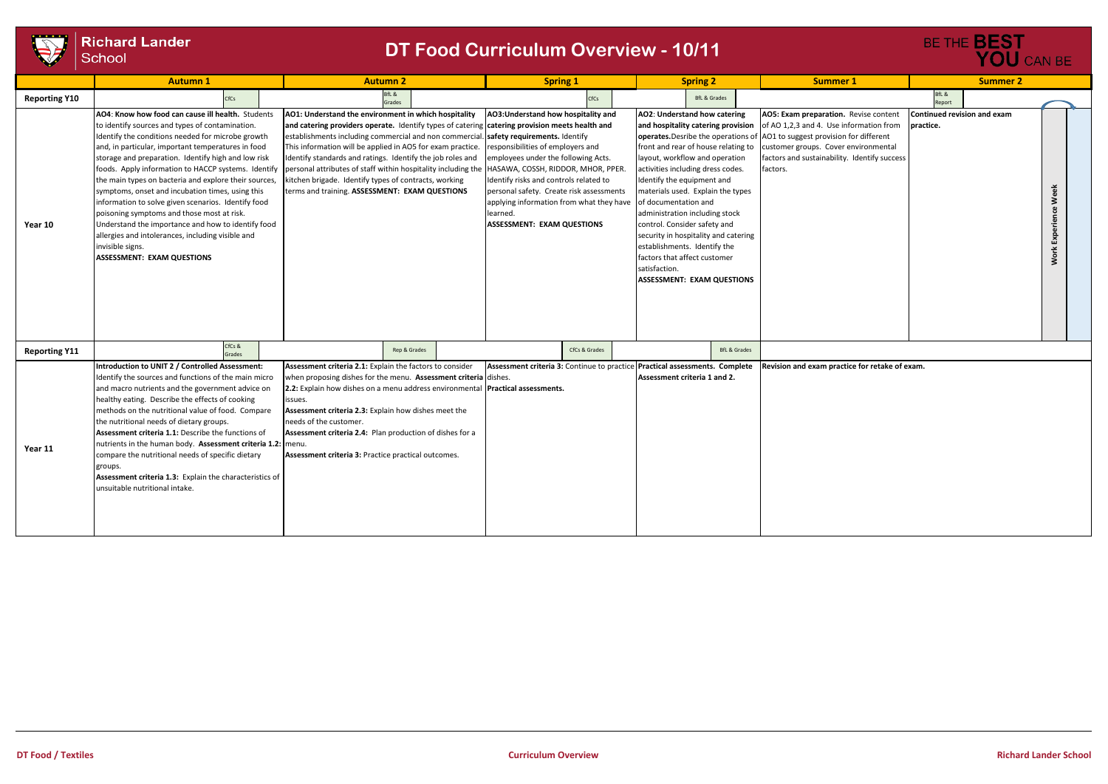

| $\cdots$<br><b>Richard Lander</b><br><b>DT Food Curriculum Overview - 10/11</b><br>School |                                                                                                                                                                                                                                                                                                                                                                                                                                                                                                                                                                                                                                                                                                                     |                                                                                                                                                                                                                                                                                                                                                                                                                                                                                                                           |                                                                                                                                                                                                                                                                                                                                                                           |                                                                                                                                                                                                                                                                                                                                                                                                                                                                                                                                                    | BE THE <b>BEST</b><br>YOU CAN BE                                                                                                                                                                                               |                                          |                                   |
|-------------------------------------------------------------------------------------------|---------------------------------------------------------------------------------------------------------------------------------------------------------------------------------------------------------------------------------------------------------------------------------------------------------------------------------------------------------------------------------------------------------------------------------------------------------------------------------------------------------------------------------------------------------------------------------------------------------------------------------------------------------------------------------------------------------------------|---------------------------------------------------------------------------------------------------------------------------------------------------------------------------------------------------------------------------------------------------------------------------------------------------------------------------------------------------------------------------------------------------------------------------------------------------------------------------------------------------------------------------|---------------------------------------------------------------------------------------------------------------------------------------------------------------------------------------------------------------------------------------------------------------------------------------------------------------------------------------------------------------------------|----------------------------------------------------------------------------------------------------------------------------------------------------------------------------------------------------------------------------------------------------------------------------------------------------------------------------------------------------------------------------------------------------------------------------------------------------------------------------------------------------------------------------------------------------|--------------------------------------------------------------------------------------------------------------------------------------------------------------------------------------------------------------------------------|------------------------------------------|-----------------------------------|
|                                                                                           | <b>Autumn 1</b>                                                                                                                                                                                                                                                                                                                                                                                                                                                                                                                                                                                                                                                                                                     | <b>Autumn 2</b>                                                                                                                                                                                                                                                                                                                                                                                                                                                                                                           | <b>Spring 1</b>                                                                                                                                                                                                                                                                                                                                                           | <b>Spring 2</b>                                                                                                                                                                                                                                                                                                                                                                                                                                                                                                                                    | <b>Summer 1</b>                                                                                                                                                                                                                | <b>Summer 2</b>                          |                                   |
| <b>Reporting Y10</b>                                                                      | CfCs                                                                                                                                                                                                                                                                                                                                                                                                                                                                                                                                                                                                                                                                                                                | ifL &<br>Grades                                                                                                                                                                                                                                                                                                                                                                                                                                                                                                           | CfCs                                                                                                                                                                                                                                                                                                                                                                      | <b>BfL &amp; Grades</b>                                                                                                                                                                                                                                                                                                                                                                                                                                                                                                                            |                                                                                                                                                                                                                                | BfL &<br>Report                          |                                   |
| Year 10                                                                                   | AO4: Know how food can cause ill health. Students<br>to identify sources and types of contamination.<br>Identify the conditions needed for microbe growth<br>and, in particular, important temperatures in food<br>storage and preparation. Identify high and low risk<br>foods. Apply information to HACCP systems. Identify<br>the main types on bacteria and explore their sources,<br>symptoms, onset and incubation times, using this<br>information to solve given scenarios. Identify food<br>poisoning symptoms and those most at risk.<br>Understand the importance and how to identify food<br>allergies and intolerances, including visible and<br>invisible signs.<br><b>ASSESSMENT: EXAM QUESTIONS</b> | AO1: Understand the environment in which hospitality<br>and catering providers operate. Identify types of catering catering provision meets health and<br>establishments including commercial and non commercial.<br>This information will be applied in AO5 for exam practice.<br>Identify standards and ratings. Identify the job roles and<br>personal attributes of staff within hospitality including the<br>kitchen brigade. Identify types of contracts, working<br>terms and training. ASSESSMENT: EXAM QUESTIONS | AO3: Understand how hospitality and<br>safety requirements. Identify<br>responsibilities of employers and<br>employees under the following Acts.<br>HASAWA, COSSH, RIDDOR, MHOR, PPER.<br>Identify risks and controls related to<br>personal safety. Create risk assessments<br>applying information from what they have<br>learned.<br><b>ASSESSMENT: EXAM QUESTIONS</b> | AO2: Understand how catering<br>and hospitality catering provision<br>operates. Desribe the operations of<br>front and rear of house relating to<br>layout, workflow and operation<br>activities including dress codes.<br>Identify the equipment and<br>materials used. Explain the types<br>of documentation and<br>administration including stock<br>control. Consider safety and<br>security in hospitality and catering<br>establishments. Identify the<br>factors that affect customer<br>satisfaction.<br><b>ASSESSMENT: EXAM QUESTIONS</b> | AO5: Exam preparation. Revise content<br>of AO 1,2,3 and 4. Use information from<br>AO1 to suggest provision for different<br>customer groups. Cover environmental<br>factors and sustainability. Identify success<br>factors. | Continued revision and exam<br>practice. | Week<br>Experience<br><b>Work</b> |
| <b>Reporting Y11</b>                                                                      | CfCs &<br>Grades                                                                                                                                                                                                                                                                                                                                                                                                                                                                                                                                                                                                                                                                                                    | Rep & Grades                                                                                                                                                                                                                                                                                                                                                                                                                                                                                                              | CfCs & Grades                                                                                                                                                                                                                                                                                                                                                             | <b>BfL &amp; Grades</b>                                                                                                                                                                                                                                                                                                                                                                                                                                                                                                                            |                                                                                                                                                                                                                                |                                          |                                   |
| Year 11                                                                                   | Introduction to UNIT 2 / Controlled Assessment:<br>Identify the sources and functions of the main micro<br>and macro nutrients and the government advice on<br>healthy eating. Describe the effects of cooking<br>methods on the nutritional value of food. Compare<br>the nutritional needs of dietary groups.<br>Assessment criteria 1.1: Describe the functions of<br>nutrients in the human body. Assessment criteria 1.2: menu.<br>compare the nutritional needs of specific dietary<br>groups.<br>Assessment criteria 1.3: Explain the characteristics of<br>unsuitable nutritional intake.                                                                                                                   | Assessment criteria 2.1: Explain the factors to consider<br>when proposing dishes for the menu. Assessment criteria dishes.<br>2.2: Explain how dishes on a menu address environmental Practical assessments.<br>issues.<br>Assessment criteria 2.3: Explain how dishes meet the<br>needs of the customer.<br>Assessment criteria 2.4: Plan production of dishes for a<br>Assessment criteria 3: Practice practical outcomes.                                                                                             | Assessment criteria 3: Continue to practice                                                                                                                                                                                                                                                                                                                               | Practical assessments. Complete<br>Assessment criteria 1 and 2.                                                                                                                                                                                                                                                                                                                                                                                                                                                                                    | Revision and exam practice for retake of exam.                                                                                                                                                                                 |                                          |                                   |